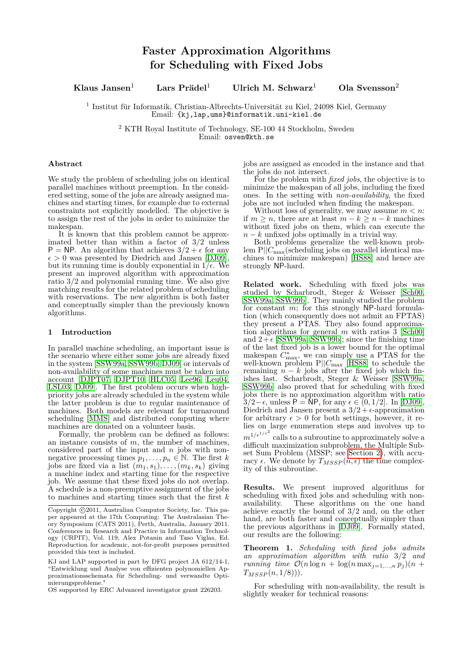**Klaus Jansen**<sup>1</sup> **Lars Prädel**<sup>1</sup> **Ulrich M. Schwarz**<sup>1</sup> **Ola Svensson**<sup>2</sup>

1 Institut für Informatik, Christian-Albrechts-Universität zu Kiel, 24098 Kiel, Germany Email: {kj,lap,ums}@informatik.uni-kiel.de

<sup>2</sup> KTH Royal Institute of Technology, SE-100 44 Stockholm, Sweden Email: osven@kth.se

### **Abstract**

We study the problem of scheduling jobs on identical parallel machines without preemption. In the considered setting, some of the jobs are already assigned machines and starting times, for example due to external constraints not explicitly modelled. The objective is to assign the rest of the jobs in order to minimize the makespan.

It is known that this problem cannot be approximated better than within a factor of 3*/*2 unless  $P = NP$ . An algorithm that achieves  $3/2 + \epsilon$  for any  $\epsilon > 0$  was presented by Diedrich and Jansen [\[DJ09\]](#page-6-0), but its running time is doubly exponential in  $1/\epsilon$ . We present an improved algorithm with approximation ratio 3*/*2 and polynomial running time. We also give matching results for the related problem of scheduling with reservations. The new algorithm is both faster and conceptually simpler than the previously known algorithms.

# **1 Introduction**

In parallel machine scheduling, an important issue is the scenario where either some jobs are already fixed in the system [\[SSW99a,](#page-6-1) [SSW99b,](#page-6-2) [DJ09\]](#page-6-0) or intervals of non-availability of some machines must be taken into account [\[DJPT07,](#page-6-3) [DJPT10,](#page-6-4) [HLC05,](#page-6-5) [Lee96,](#page-6-6) [Leu04,](#page-6-7) [LSL03,](#page-6-8) [DJ09\]](#page-6-0). The first problem occurs when highpriority jobs are already scheduled in the system while the latter problem is due to regular maintenance of machines. Both models are relevant for turnaround scheduling [\[MMS\]](#page-6-9) and distributed computing where machines are donated on a volunteer basis.

Formally, the problem can be defined as follows: an instance consists of *m*, the number of machines, considered part of the input and *n* jobs with nonnegative processing times  $p_1, \ldots, p_n \in \mathbb{N}$ . The first *k* jobs are fixed via a list  $(m_1, s_1), \ldots, (m_k, s_k)$  giving a machine index and starting time for the respective job. We assume that these fixed jobs do not overlap. A schedule is a non-preemptive assignment of the jobs to machines and starting times such that the first *k*

OS supported by ERC Advanced investigator grant 226203.

jobs are assigned as encoded in the instance and that the jobs do not intersect.

For the problem with *fixed jobs*, the objective is to minimize the makespan of all jobs, including the fixed ones. In the setting with *non-availability*, the fixed jobs are not included when finding the makespan.

Without loss of generality, we may assume  $m < n$ . if *m* ≥ *n*, there are at least  $m - k$  ≥ *n* − *k* machines without fixed jobs on them, which can execute the  $n - k$  unfixed jobs optimally in a trivial way.

Both problems generalize the well-known problem P||*C*max(scheduling jobs on parallel identical machines to minimize makespan) [\[HS88\]](#page-6-10) and hence are strongly NP-hard.

**Related work.** Scheduling with fixed jobs was studied by Scharbrodt, Steger & Weisser [\[Sch00,](#page-6-11) [SSW99a,](#page-6-1) [SSW99b\]](#page-6-2). They mainly studied the problem for constant *m*; for this strongly NP-hard formulation (which consequently does not admit an FPTAS) they present a PTAS. They also found approximation algorithms for general *m* with ratios 3 [\[Sch00\]](#page-6-11) and  $2+\epsilon$  [\[SSW99a,](#page-6-1) [SSW99b\]](#page-6-2); since the finishing time of the last fixed job is a lower bound for the optimal makespan  $C_{\text{max}}^*$ , we can simply use a PTAS for the well-known problem P||*C*max [\[HS88\]](#page-6-10) to schedule the remaining  $n - k$  jobs after the fixed job which finishes last. Scharbrodt, Steger & Weisser [\[SSW99a,](#page-6-1) [SSW99b\]](#page-6-2) also proved that for scheduling with fixed jobs there is no approximation algorithm with ratio 3*/*2−, unless P = NP, for any ∈ (0*,* 1*/*2]. In [\[DJ09\]](#page-6-0), Diedrich and Jansen present a  $3/2 + \epsilon$ -approximation for arbitrary  $\epsilon > 0$  for both settings, however, it relies on large enumeration steps and involves up to  $m^{1/\epsilon^{1/\epsilon^2}}$  calls to a subroutine to approximately solve a difficult maximization subproblem, the Multiple Subset Sum Problem (MSSP; see [Section 2\)](#page-1-0), with accuracy  $\epsilon$ . We denote by  $T_{MSSP}(n, \epsilon)$  the time complexity of this subroutine.

**Results.** We present improved algorithms for scheduling with fixed jobs and scheduling with non-<br>availability. These algorithms on the one hand These algorithms on the one hand achieve exactly the bound of 3*/*2 and, on the other hand, are both faster and conceptually simpler than the previous algorithms in [\[DJ09\]](#page-6-0). Formally stated, our results are the following:

<span id="page-0-0"></span>**Theorem 1.** *Scheduling with fixed jobs admits an approximation algorithm with ratio* 3*/*2 *and running time*  $\mathcal{O}(n \log n + \log(n \max_{i=1,...,n} p_i)(n +$ *TMSSP* (*n,* 1*/*8)))*.*

For scheduling with non-availability, the result is slightly weaker for technical reasons:

Copyright  $\odot$ 2011, Australian Computer Society, Inc. This paper appeared at the 17th Computing: The Australasian Theory Symposium (CATS 2011), Perth, Australia, January 2011. Conferences in Research and Practice in Information Technology (CRPIT), Vol. 119, Alex Potanin and Taso Viglas, Ed. Reproduction for academic, not-for-profit purposes permitted provided this text is included.

KJ and LAP supported in part by DFG project JA 612/14-1, "Entwicklung und Analyse von effizienten polynomiellen Approximationsschemata für Scheduling- und verwandte Optimierungsprobleme.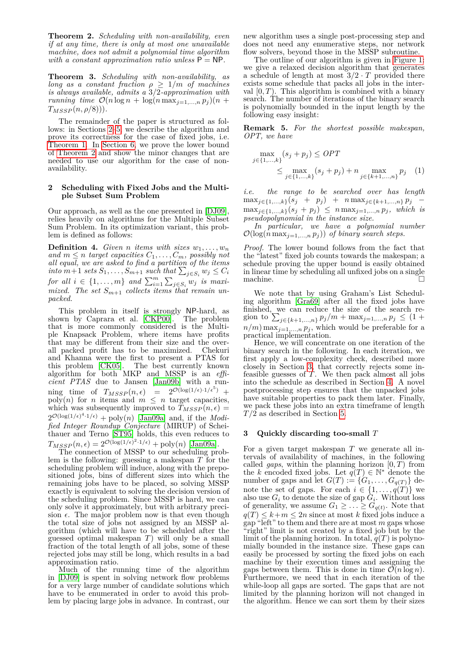<span id="page-1-1"></span>**Theorem 2.** *Scheduling with non-availability, even if at any time, there is only at most one unavailable machine, does not admit a polynomial time algorithm with a constant approximation ratio unless*  $P = NP$ .

**Theorem 3.** *Scheduling with non-availability, as long as a constant fraction*  $\rho \geq 1/m$  *of machines is always available, admits a* 3*/*2*-approximation with running time*  $\mathcal{O}(n \log n + \log(n \max_{j=1,\dots,n} p_j)(n +$ *TMSSP* (*n, ρ/*8)))*.*

The remainder of the paper is structured as follows: in Sections [2–](#page-1-0)[5,](#page-4-0) we describe the algorithm and prove its correctness for the case of fixed jobs, i.e. [Theorem 1.](#page-0-0) In [Section 6,](#page-4-1) we prove the lower bound of [Theorem 2](#page-1-1) and show the minor changes that are needed to use our algorithm for the case of nonavailability.

#### <span id="page-1-0"></span>**2 Scheduling with Fixed Jobs and the Multiple Subset Sum Problem**

Our approach, as well as the one presented in [\[DJ09\]](#page-6-0), relies heavily on algorithms for the Multiple Subset Sum Problem. In its optimization variant, this problem is defined as follows:

**Definition 4.** *Given n items* with sizes  $w_1, \ldots, w_n$ *and*  $m \leq n$  *target capacities*  $C_1, \ldots, C_m$ *, possibly not all equal, we are asked to find a partition of the items into*  $m+1$  *sets*  $S_1, \ldots, S_{m+1}$  *such that*  $\sum_{j \in S_i} w_j \leq C_i$ *for all*  $i \in \{1, \ldots, m\}$  *and*  $\sum_{i=1}^{m} \sum_{j \in S_i} w_j$  *is maxi*mized. The set  $S_{m+1}$  collects items that remain un*packed.*

This problem in itself is strongly NP-hard, as<br>by Dopper et al. [CKP00]. The problem shown by Caprara et al.  $[CKP00]$ . that is more commonly considered is the Multiple Knapsack Problem, where items have profits that may be different from their size and the overall packed profit has to be maximized. Chekuri and Khanna were the first to present a PTAS for this problem [\[CK05\]](#page-5-0). The best currently known algorithm for both MKP and MSSP is an *efficient PTAS* due to Jansen [\[Jan09b\]](#page-6-13) with a run- $\begin{array}{rcl}\n\text{ning time of} & T_{MSSP}(n, \epsilon) & = & 2^{\mathcal{O}(\log(1/\epsilon) \cdot 1/\epsilon^5)} + \n\end{array}$  $\text{poly}(n)$  for *n* items and  $m \leq n$  target capacities, which was subsequently improved to  $T_{MSSP}(n, \epsilon)$  =  $2^{\mathcal{O}(\log(1/\epsilon)^4 \cdot 1/\epsilon)} + \text{poly}(n)$  [\[Jan09a\]](#page-6-14) and, if the *Modified Integer Roundup Conjecture* (MIRUP) of Schei-thauer and Terno [\[ST95\]](#page-6-15) holds, this even reduces to  $T_{MSSP}(n, \epsilon) = 2^{\mathcal{O}(\log(1/\epsilon)^2 \cdot 1/\epsilon)} + \text{poly}(n)$  [\[Jan09a\]](#page-6-14).

The connection of MSSP to our scheduling problem is the following: guessing a makespan *T* for the scheduling problem will induce, along with the prepositioned jobs, bins of different sizes into which the remaining jobs have to be placed, so solving MSSP exactly is equivalent to solving the decision version of the scheduling problem. Since MSSP is hard, we can only solve it approximately, but with arbitrary precision  $\epsilon$ . The major problem now is that even though the total size of jobs not assigned by an MSSP algorithm (which will have to be scheduled after the guessed optimal makespan *T*) will only be a small fraction of the total length of all jobs, some of these rejected jobs may still be long, which results in a bad approximation ratio.

Much of the running time of the algorithm in [\[DJ09\]](#page-6-0) is spent in solving network flow problems for a very large number of candidate solutions which have to be enumerated in order to avoid this problem by placing large jobs in advance. In contrast, our

new algorithm uses a single post-processing step and does not need any enumerative steps, nor network flow solvers, beyond those in the MSSP subroutine.

The outline of our algorithm is given in [Figure 1:](#page-2-0) we give a relaxed decision algorithm that generates a schedule of length at most  $3/2 \cdot T$  provided there exists some schedule that packs all jobs in the interval  $[0, T)$ . This algorithm is combined with a binary search. The number of iterations of the binary search is polynomially bounded in the input length by the following easy insight:

<span id="page-1-3"></span>**Remark 5.** *For the shortest possible makespan, OPT, we have*

$$
\max_{j \in \{1, ..., k\}} (s_j + p_j) \le OPT
$$
\n
$$
\le \max_{j \in \{1, ..., k\}} (s_j + p_j) + n \max_{j \in \{k+1, ..., n\}} p_j \quad (1)
$$

*i.e. the range to be searched over has length*  $\max_{j \in \{1, ..., k\}} (s_j + p_j) + n \max_{j \in \{k+1, ..., n\}} p_j$  $\max_{j \in \{1, ..., k\}} (s_j + p_j) \leq n \max_{j=1, ..., n} p_j$ , which is *pseudopolynomial in the instance size.*

*In particular, we have a polynomial number*  $\mathcal{O}(\log(n \max_{j=1,\dots,n} p_j))$  of binary search steps.

*Proof.* The lower bound follows from the fact that the "latest" fixed job counts towards the makespan; a schedule proving the upper bound is easily obtained in linear time by scheduling all unfixed jobs on a single machine.

We note that by using Graham's List Scheduling algorithm [\[Gra69\]](#page-6-16) after all the fixed jobs have finished, we can reduce the size of the search region to  $\sum_{j \in \{k+1,\dots,n\}} p_j/m + \max_{j=1,\dots,n} p_j \leq (1 +$  $n/m$ ) max<sub>j=1</sub>,...,*n*  $p_j$ , which would be preferable for a practical implementation.

Hence, we will concentrate on one iteration of the binary search in the following. In each iteration, we first apply a low-complexity check, described more closely in Section [3,](#page-1-2) that correctly rejects some infeasible guesses of *T*. We then pack almost all jobs into the schedule as described in Section [4.](#page-2-1) A novel postprocessing step ensures that the unpacked jobs have suitable properties to pack them later. Finally, we pack these jobs into an extra timeframe of length *T /*2 as described in Section [5.](#page-4-0)

### <span id="page-1-2"></span>**3 Quickly discarding too-small** *T*

For a given target makespan *T* we generate all intervals of availability of machines, in the following called *gaps*, within the planning horizon  $[0, T)$  from the *k* encoded fixed jobs. Let  $q(T) \in \mathbb{N}^*$  denote the number of gaps and let  $G(T) := \{G_1, \ldots, G_{q(T)}\}\$  denote the set of gaps. For each  $i \in \{1, \ldots, q(T)\}\$  we also use  $G_i$  to denote the size of gap  $G_i$ . Without loss of generality, we assume  $G_1 \geq \ldots \geq G_{q(t)}$ . Note that  $q(T) \leq k+m \leq 2n$  since at most *k* fixed jobs induce a  $g(x) = g(x)$   $m \ge 2n$  since at most  $\kappa$  fixed jobs induce a<br>gap "left" to them and there are at most  $m$  gaps whose "right" limit is not created by a fixed job but by the limit of the planning horizon. In total,  $q(T)$  is polynomially bounded in the instance size. These gaps can easily be processed by sorting the fixed jobs on each machine by their execution times and assigning the gaps between them. This is done in time  $\mathcal{O}(n \log n)$ . Furthermore, we need that in each iteration of the while-loop all gaps are sorted. The gaps that are not limited by the planning horizon will not changed in the algorithm. Hence we can sort them by their sizes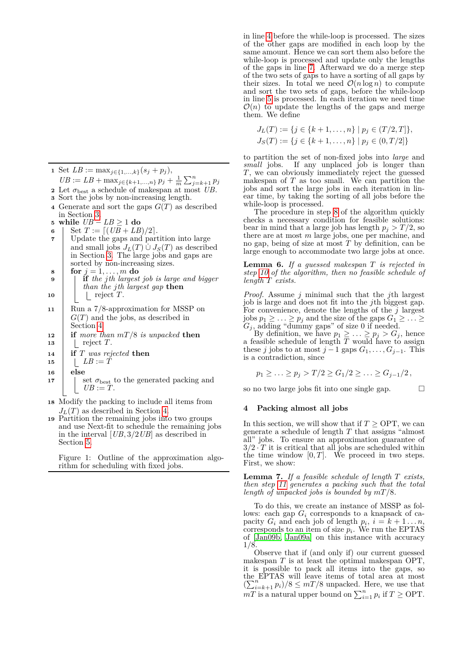<span id="page-2-4"></span><span id="page-2-3"></span><span id="page-2-2"></span> Set *LB* := max<sub>*j*∈{1,...,k}</sub>( $s_j + p_j$ ),  $UB := LB + \max_{j \in \{k+1,\dots,n\}} p_j + \frac{1}{m} \sum_{j=k+1}^n p_j$  Let  $\sigma_{\text{best}}$  a schedule of makespan at most *UB*. Sort the jobs by non-increasing length. Generate and sort the gaps  $G(T)$  as described in Section [3.](#page-1-2) **while** *UB* − *LB* ≥ 1 **do**  $\left| \right. \text{Set } T := \left[ \left( \frac{UB + LB}{2} \right] \right]$ . Update the gaps and partition into large and small jobs  $J_L(T) \cup J_S(T)$  as described in Section [3.](#page-1-2) The large jobs and gaps are sorted by non-increasing sizes. **for**  $j = 1, ..., m$  **do if** *the jth largest job is large and bigger than the jth largest gap* **then** | | reject *T*.

- <span id="page-2-7"></span><span id="page-2-6"></span><span id="page-2-5"></span>**<sup>11</sup>** Run a 7*/*8-approximation for MSSP on *G*(*T*) and the jobs, as described in Section [4.](#page-2-1)
- **<sup>12</sup> if** *more than mT /*8 *is unpacked* **then 13** | reject  $T$ .
- **<sup>14</sup> if** *T was rejected* **then**
- **15**  $\vert$   $\vert$   $LB := T$
- **<sup>16</sup> else**

**17** | set  $\sigma_{\text{best}}$  to the generated packing and  $UB := T$ .

- **<sup>18</sup>** Modify the packing to include all items from  $J_L(T)$  as described in Section [4.](#page-2-1)
- **<sup>19</sup>** Partition the remaining jobs into two groups and use Next-fit to schedule the remaining jobs in the interval [*UB,* 3*/*2*UB*] as described in Section [5.](#page-4-0)

<span id="page-2-0"></span>Figure 1: Outline of the approximation algorithm for scheduling with fixed jobs.

in line [4](#page-2-2) before the while-loop is processed. The sizes of the other gaps are modified in each loop by the same amount. Hence we can sort them also before the while-loop is processed and update only the lengths of the gaps in line [7.](#page-2-3) Afterward we do a merge step of the two sets of gaps to have a sorting of all gaps by their sizes. In total we need  $\mathcal{O}(n \log n)$  to compute and sort the two sets of gaps, before the while-loop in line [5](#page-2-4) is processed. In each iteration we need time  $\mathcal{O}(n)$  to update the lengths of the gaps and merge them. We define

$$
J_L(T) := \{ j \in \{k+1, \ldots, n\} \mid p_j \in (T/2, T] \},
$$
  

$$
J_S(T) := \{ j \in \{k+1, \ldots, n\} \mid p_j \in (0, T/2] \}
$$

to partition the set of non-fixed jobs into *large* and *small* jobs. If any unplaced job is longer than *T*, we can obviously immediately reject the guessed makespan of  $T$  as too small. We can partition the jobs and sort the large jobs in each iteration in linear time, by taking the sorting of all jobs before the while-loop is processed.

The procedure in step [8](#page-2-5) of the algorithm quickly checks a necessary condition for feasible solutions: bear in mind that a large job has length  $p_j > T/2$ , so there are at most *m* large jobs, one per machine, and no gap, being of size at most *T* by definition, can be large enough to accommodate two large jobs at once.

**Lemma 6.** *If a guessed makespan T is rejected in step [10](#page-2-6) of the algorithm, then no feasible schedule of length T exists.*

*Proof.* Assume *j* minimal such that the *j*th largest job is large and does not fit into the *j*th biggest gap. For convenience, denote the lengths of the *j* largest  $\text{p}_1 \geq \ldots \geq p_j \text{ and the size of the gaps } G_1 \geq \ldots \geq$  $G_j$ , adding "dummy gaps" of size 0 if needed.

By definition, we have  $p_1 \geq \ldots \geq p_j > G_j$ , hence a feasible schedule of length *T* would have to assign these *j* jobs to at most  $j-1$  gaps  $G_1, \ldots, G_{j-1}$ . This is a contradiction, since

$$
p_1 \geq \ldots \geq p_j > T/2 \geq G_1/2 \geq \ldots \geq G_{j-1}/2\,,
$$

so no two large jobs fit into one single gap.  $\Box$ 

# <span id="page-2-1"></span>**4 Packing almost all jobs**

In this section, we will show that if  $T >$  OPT, we can generate a schedule of length *T* that assigns "almost all" jobs. To ensure an approximation guarantee of  $3/2 \cdot T$  it is critical that all jobs are scheduled within the time window  $[0, T]$ . We proceed in two steps. First, we show:

**Lemma 7.** *If a feasible schedule of length T exists, then step [11](#page-2-7) generates a packing such that the total length of unpacked jobs is bounded by mT /*8*.*

To do this, we create an instance of MSSP as follows: each gap *G<sup>i</sup>* corresponds to a knapsack of capacity  $G_i$  and each job of length  $p_i$ ,  $i = k + 1...n$ , corresponds to an item of size  $p_i$ . We run the EPTAS of [\[Jan09b,](#page-6-13) [Jan09a\]](#page-6-14) on this instance with accuracy 1*/*8.

Observe that if (and only if) our current guessed makespan *T* is at least the optimal makespan OPT, it is possible to pack all items into the gaps, so the EPTAS will leave items of total area at most  $(\sum_{i=k+1}^{n} p_i)/8 \leq mT/8$  unpacked. Here, we use that  $mT$  is a natural upper bound on  $\sum_{i=1}^{n} p_i$  if  $T \geq \text{OPT}$ .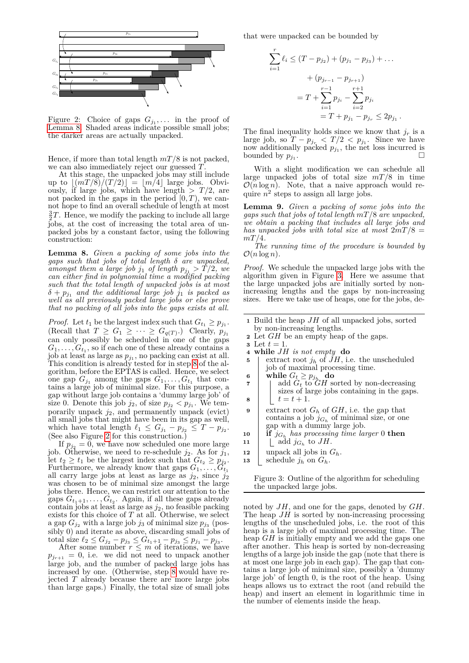

<span id="page-3-1"></span>Figure 2: Choice of gaps  $G_{j_1}, \ldots$  in the proof of [Lemma 8.](#page-3-0) Shaded areas indicate possible small jobs; the darker areas are actually unpacked.

Hence, if more than total length *mT /*8 is not packed, we can also immediately reject our guessed *T*.

At this stage, the unpacked jobs may still include up to  $|(mT/8)/(T/2)| = |m/4|$  large jobs. Obviously, if large jobs, which have length  $> T/2$ , are not packed in the gaps in the period  $[0, T)$ , we cannot hope to find an overall schedule of length at most  $\frac{3}{2}T$ . Hence, we modify the packing to include all large jobs, at the cost of increasing the total area of unpacked jobs by a constant factor, using the following construction:

<span id="page-3-0"></span>**Lemma 8.** *Given a packing of some jobs into the gaps such that jobs of total length δ are unpacked, amongst them a large job j*<sup>1</sup> *of length*  $p_{j_1} > T/2$ *, we can either find in polynomial time a modified packing such that the total length of unpacked jobs is at most*  $\delta + p_{j_1}$  *and the additional large job*  $j_1$  *is packed as well as all previously packed large jobs or else prove that no packing of all jobs into the gaps exists at all.*

*Proof.* Let  $t_1$  be the largest index such that  $G_{t_1} \geq p_{j_1}$ .  $(\text{Recall that } T \ge G_1 \ge \cdots \ge G_{q(T)}.)$  Clearly,  $p_{j_1}$ can only possibly be scheduled in one of the gaps  $G_1, \ldots, G_{t_1}$ , so if each one of these already contains a job at least as large as *pj*<sup>1</sup> , no packing can exist at all. This condition is already tested for in step [8](#page-2-5) of the algorithm, before the EPTAS is called. Hence, we select one gap  $G_{j_1}$  among the gaps  $G_1, \ldots, G_{t_1}$  that contains a large job of minimal size. For this purpose, a gap without large job contains a 'dummy large job' of size 0. Denote this job  $j_2$ , of size  $p_{j_2} < p_{j_1}$ . We temporarily unpack *j*2, and permanently unpack (evict) all small jobs that might have been in its gap as well, which have total length  $\ell_1 \leq G_{j_1} - p_{j_2} \leq T - p_{j_2}$ . (See also Figure [2](#page-3-1) for this construction.)

If  $p_{j_2} = 0$ , we have now scheduled one more large job. Otherwise, we need to re-schedule  $j_2$ . As for  $j_1$ , let  $t_2 \geq t_1$  be the largest index such that  $G_{t_2} \geq p_{j_2}$ . Furthermore, we already know that gaps  $G_1, \ldots, G_{t_1}$ all carry large jobs at least as large as *j*2, since *j*<sup>2</sup> was chosen to be of minimal size amongst the large jobs there. Hence, we can restrict our attention to the gaps  $G_{t_1+1}, \ldots, G_{t_2}$ . Again, if all these gaps already contain jobs at least as large as *j*2, no feasible packing exists for this choice of *T* at all. Otherwise, we select a gap  $G_{j_2}$  with a large job  $j_3$  of minimal size  $p_{j_3}$  (possibly 0) and iterate as above, discarding small jobs of total size  $\ell_2 \leq G_{j_2} - p_{j_3} \leq G_{t_1+1} - p_{j_3} \leq p_{j_1} - p_{j_3}.$ 

After some number  $r \leq m$  of iterations, we have  $p_{j_{r+1}} = 0$ , i.e. we did not need to unpack another large job, and the number of packed large jobs has increased by one. (Otherwise, step [8](#page-2-5) would have rejected *T* already because there are more large jobs than large gaps.) Finally, the total size of small jobs that were unpacked can be bounded by

$$
\sum_{i=1}^{r} \ell_i \le (T - p_{j_2}) + (p_{j_1} - p_{j_3}) + \dots
$$

$$
+ (p_{j_{r-1}} - p_{j_{r+1}})
$$

$$
= T + \sum_{i=1}^{r-1} p_{j_i} - \sum_{i=2}^{r+1} p_{j_i}
$$

$$
= T + p_{j_1} - p_{j_r} \le 2p_{j_1}.
$$

The final inequality holds since we know that  $j_r$  is a large job, so  $T - p_{j_r} < T/2 < p_{j_1}$ . Since we have now additionally packed  $p_{j_1}$ , the net loss incurred is bounded by  $p_{j_1}$ . bounded by  $p_{j_1}$ .

With a slight modification we can schedule all large unpacked jobs of total size *mT /*8 in time  $\mathcal{O}(n \log n)$ . Note, that a naive approach would require  $n^2$  steps to assign all large jobs.

**Lemma 9.** *Given a packing of some jobs into the gaps such that jobs of total length mT /*8 *are unpacked, we obtain a packing that includes all large jobs and has unpacked jobs with total size at most* 2*mT /*8 = *mT /*4*.*

*The running time of the procedure is bounded by*  $\mathcal{O}(n \log n)$ .

*Proof.* We schedule the unpacked large jobs with the algorithm given in Figure [3.](#page-3-2) Here we assume that the large unpacked jobs are initially sorted by nonincreasing lengths and the gaps by non-increasing sizes. Here we take use of heaps, one for the jobs, de-

- **<sup>1</sup>** Build the heap *JH* of all unpacked jobs, sorted by non-increasing lengths.
- **<sup>2</sup>** Let *GH* be an empty heap of the gaps.
- **3** Let  $t = 1$ .
- <span id="page-3-3"></span>**<sup>4</sup> while** *JH is not empty* **do**
- **5** extract root  $j_h$  of  $\tilde{J}H$ , i.e. the unscheduled job of maximal processing time.
- <span id="page-3-4"></span> $6$  **while**  $G_t \geq p_{j_h}$  **do**
- **7**  $\begin{array}{|c|c|c|c|c|} \hline \end{array}$  add  $G_t$  to  $\overline{G}H$  sorted by non-decreasing sizes of large jobs containing in the gaps. **8**  $t = t + 1$ .
- **9** extract root  $G_h$  of  $GH$ , i.e. the gap that contains a job  $j_{G_h}$  of minimal size, or one gap with a dummy large job.
- **10 if**  $j_{G_h}$  has processing time larger 0 **then**
- **11**  $\left[\begin{array}{c} \text{add } j_{G_h} \text{ to } JH. \end{array}\right]$
- 
- **12** unpack all jobs in  $G_h$ .<br>**13** schedule  $i_h$  on  $G_h$ . schedule  $j_h$  on  $G_h$ .

<span id="page-3-2"></span>Figure 3: Outline of the algorithm for scheduling the unpacked large jobs.

noted by *JH*, and one for the gaps, denoted by *GH*. The heap  $JH$  is sorted by non-increasing processing lengths of the unscheduled jobs, i.e. the root of this heap is a large job of maximal processing time. The heap *GH* is initially empty and we add the gaps one after another. This heap is sorted by non-decreasing lengths of a large job inside the gap (note that there is at most one large job in each gap). The gap that contains a large job of minimal size, possibly a 'dummy large job' of length 0, is the root of the heap. Using heaps allows us to extract the root (and rebuild the heap) and insert an element in logarithmic time in the number of elements inside the heap.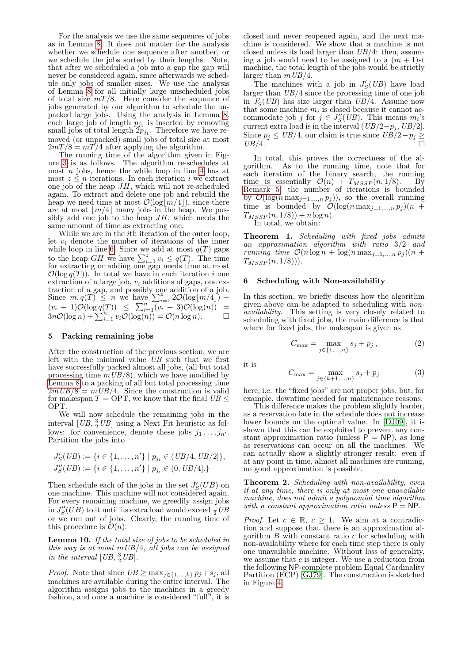For the analysis we use the same sequences of jobs as in Lemma [8.](#page-3-0) It does not matter for the analysis whether we schedule one sequence after another, or we schedule the jobs sorted by their lengths. Note, that after we scheduled a job into a gap the gap will never be considered again, since afterwards we schedule only jobs of smaller sizes. We use the analysis of Lemma [8](#page-3-0) for all initially large unscheduled jobs of total size *mT /*8. Here consider the sequence of jobs generated by our algorithm to schedule the unpacked large jobs. Using the analysis in Lemma [8,](#page-3-0) each large job of length  $p_{j_1}$  is inserted by removing small jobs of total length  $2p_{j_1}$ . Therefore we have removed (or unpacked) small jobs of total size at most  $2mT/8 = mT/4$  after applying the algorithm.

The running time of the algorithm given in Figure [3](#page-3-2) is as follows. The algorithm re-schedules at most *n* jobs, hence the while loop in line [4](#page-3-3) has at most  $z \leq n$  iterations. In each iteration *i* we extract one job of the heap *JH*, which will not re-scheduled again. To extract and delete one job and rebuild the heap we need time at most  $\mathcal{O}(\log\lfloor m/4\rfloor)$ , since there are at most  $\lfloor m/4 \rfloor$  many jobs in the heap. We possibly add one job to the heap *JH*, which needs the same amount of time as extracting one.

While we are in the *i*th iteration of the outer loop, let  $v_i$  denote the number of iterations of the inner while loop in line [6.](#page-3-4) Since we add at most  $q(T)$  gaps to the heap *GH* we have  $\sum_{i=1}^{z} v_i \leq q(T)$ . The time for extracting or adding one gap needs time at most  $\mathcal{O}(\log q(T))$ . In total we have in each iteration *i* one extraction of a large job, *v<sup>i</sup>* additions of gaps, one extraction of a gap, and possibly one addition of a job. Since  $m, q(T) \leq n$  we have  $\sum_{i=1}^{\infty} 2\mathcal{O}(\log[m/4])$  +  $(v_i + 1)\mathcal{O}(\log q(T)) \leq \sum_{i=1}^n (v_i + 3)\mathcal{O}(\log(n)) =$  $3n\mathcal{O}(\log n) + \sum_{i=1}^{n} v_i \mathcal{O}(\log(n)) = \mathcal{O}(n \log n).$ 

# <span id="page-4-0"></span>**5 Packing remaining jobs**

After the construction of the previous section, we are left with the minimal value *UB* such that we first have successfully packed almost all jobs, (all but total processing time *mUB/*8), which we have modified by [Lemma 8](#page-3-0) to a packing of all but total processing time  $2mUB/8 = mUB/4$ . Since the construction is valid for makespan  $T = \text{OPT}$ , we know that the final  $UB \leq$ OPT.

We will now schedule the remaining jobs in the interval  $[UB, \frac{3}{2}UB]$  using a Next Fit heuristic as follows: for convenience, denote these jobs  $j_1 \ldots, j_{n'}$ . Partition the jobs into

$$
J'_{S}(UB) := \{i \in \{1, ..., n'\} \mid p_{j_i} \in (UB/4, UB/2]\},
$$
  

$$
J''_{S}(UB) := \{i \in \{1, ..., n'\} \mid p_{j_i} \in (0, UB/4].\}
$$

Then schedule each of the jobs in the set  $J'_{S}(UB)$  on one machine. This machine will not considered again. For every remaining machine, we greedily assign jobs in  $J''_S(UB)$  to it until its extra load would exceed  $\frac{1}{2}UB$ or we run out of jobs. Clearly, the running time of this procedure is  $\mathcal{O}(n)$ .

<span id="page-4-2"></span>**Lemma 10.** *If the total size of jobs to be scheduled in this way is at most mUB/*4*, all jobs can be assigned in the interval*  $[UB, \frac{3}{2}UB]$ *.* 

*Proof.* Note that since  $UB \ge \max_{j \in \{1, ..., k\}} p_j + s_j$ , all machines are available during the entire interval. The algorithm assigns jobs to the machines in a greedy fashion, and once a machine is considered "full", it is closed and never reopened again, and the next machine is considered. We show that a machine is not closed unless its load larger than *UB/*4: then, assuming a job would need to be assigned to a  $(m + 1)$ st machine, the total length of the jobs would be strictly larger than *mUB/*4.

The machines with a job in  $J'_{S}(UB)$  have load larger than *UB/*4 since the processing time of one job in  $J'_{S}(UB)$  has size larger than  $UB/4$ . Assume now that some machine  $m_i$  is closed because it cannot accommodate job *j* for  $j \in J''_S(UB)$ . This means  $m_i$ 's current extra load is in the interval  $(UB/2-p_j, UB/2]$ . Since  $p_j$  ≤ *UB*/4, our claim is true since  $UB/2 - p_j$  ≥ *UB*/4. □

In total, this proves the correctness of the algorithm. As to the running time, note that for each iteration of the binary search, the running time is essentially  $\mathcal{O}(n) + T_{MSSP}(n,1/8)$ . By [Remark 5,](#page-1-3) the number of iterations is bounded by  $\mathcal{O}(\log(n \max_{j=1,\dots,n} p_j)),$  so the overall running time is bounded by  $\mathcal{O}(\log(n \max_{j=1,\dots,n} p_j)(n +$  $T_{MSSP}(n, 1/8)$  + *n* log *n*).

In total, we obtain:

**Theorem 1.** *Scheduling with fixed jobs admits an approximation algorithm with ratio* 3*/*2 *and running time*  $\mathcal{O}(n \log n + \log(n \max_{j=1,\dots,n} p_j)(n +$ *TMSSP* (*n,* 1*/*8)))*.*

# <span id="page-4-1"></span>**6 Scheduling with Non-availability**

In this section, we briefly discuss how the algorithm given above can be adapted to scheduling with *nonavailability*. This setting is very closely related to scheduling with fixed jobs, the main difference is that where for fixed jobs, the makespan is given as

$$
C_{\max} = \max_{j \in \{1, ..., n\}} s_j + p_j, \qquad (2)
$$

it is

$$
C_{\max} = \max_{j \in \{k+1, ..., n\}} s_j + p_j \tag{3}
$$

here, i.e. the "fixed jobs" are not proper jobs, but, for example, downtime needed for maintenance reasons.

This difference makes the problem slightly harder, as a reservation late in the schedule does not increase lower bounds on the optimal value. In [\[DJ09\]](#page-6-0), it is shown that this can be exploited to prevent any constant approximation ratio (unless  $\overline{P} = \overline{NP}$ ), as long as reservations can occur on all the machines. We can actually show a slightly stronger result: even if at any point in time, almost all machines are running, no good approximation is possible.

**Theorem 2.** *Scheduling with non-availability, even if at any time, there is only at most one unavailable machine, does not admit a polynomial time algorithm with a constant approximation ratio unless*  $P = NP$ .

*Proof.* Let  $c \in \mathbb{R}$ ,  $c \geq 1$ . We aim at a contradiction and suppose that there is an approximation algorithm *B* with constant ratio *c* for scheduling with non-availability where for each time step there is only one unavailable machine. Without loss of generality, we assume that *c* is integer. We use a reduction from the following NP-complete problem Equal Cardinality Partition (ECP) [\[GJ79\]](#page-6-17). The construction is sketched in Figure [4.](#page-5-1)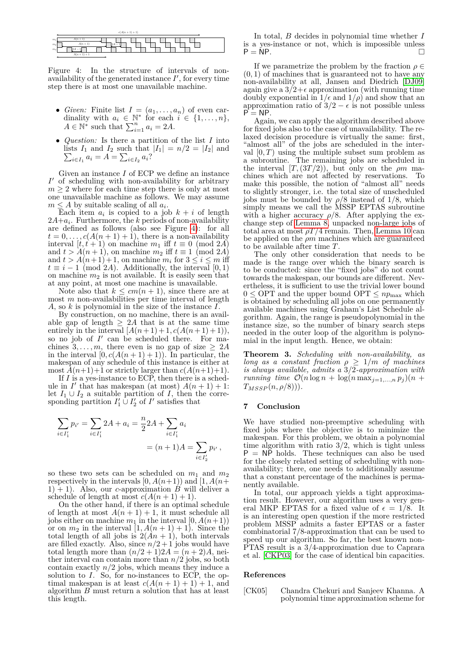|                | $c(A(n + 1) + 1)$        |
|----------------|--------------------------|
| m <sub>1</sub> | $A(n+1)$                 |
| m <sub>2</sub> | $A(n+1)$<br>2A<br>$\sim$ |
| m <sub>3</sub> | 12A –                    |
|                | $A(n + 1) + 1$           |

<span id="page-5-1"></span>Figure 4: In the structure of intervals of nonavailability of the generated instance  $I'$ , for every time step there is at most one unavailable machine.

- *Given:* Finite list  $I = (a_1, \ldots, a_n)$  of even cardinality with  $a_i \in \mathbb{N}^*$  for each  $i \in \{1, \ldots, n\}$ ,  $A \in \mathbb{N}^*$  such that  $\sum_{i=1}^n a_i = 2A$ .
- *Question:* Is there a partition of the list *I* into  $\sum$ lists  $I_1$  and  $I_2$  such that  $|I_1| = n/2 = |I_2|$  and  $i \in I_1$   $a_i = A = \sum_{i \in I_2} a_i$ ?

Given an instance *I* of ECP we define an instance  $I'$  of scheduling with non-availability for arbitrary  $m \geq 2$  where for each time step there is only at most one unavailable machine as follows. We may assume  $m \leq A$  by suitable scaling of all  $a_i$ .

Each item  $a_i$  is copied to a job  $k + i$  of length 2*A*+*a<sup>i</sup>* . Furthermore, the *k* periods of non-availability are defined as follows (also see Figure [4\)](#page-5-1): for all  $t = 0, \ldots, c(A(n + 1) + 1)$ , there is a non-availability interval  $[t, t+1)$  on machine  $m_1$  iff  $t \equiv 0 \pmod{2A}$ and  $t > A(n+1)$ , on machine  $m_2$  iff  $t \equiv 1 \pmod{2A}$ and  $t > A(n+1) + 1$ , on machine  $m_i$  for  $3 \le i \le m$  iff  $t \equiv i - 1 \pmod{2A}$ . Additionally, the interval [0, 1) on machine  $m_2$  is not available. It is easily seen that at any point, at most one machine is unavailable.

Note also that  $k \leq cm(n+1)$ , since there are at most  $m$  non-availabilities per time interval of length *A*, so *k* is polynomial in the size of the instance *I*.

By construction, on no machine, there is an available gap of length  $\geq 2A$  that is at the same time entirely in the interval  $[A(n+1)+1, c(A(n+1)+1)],$ so no job of  $I'$  can be scheduled there. For machines  $3, \ldots, m$ , there even is no gap of size  $\geq 2A$ in the interval  $[0, c(A(n+1)+1))$ . In particular, the makespan of any schedule of this instance is either at most  $A(n+1)+1$  or strictly larger than  $c(A(n+1)+1)$ .

If *I* is a yes-instance to ECP, then there is a schedule in *I'* that has makespan (at most)  $A(n + 1) + 1$ : let  $I_1 \cup I_2$  a suitable partition of *I*, then the corresponding partition  $I'_1 \cup I'_2$  of  $I'$  satisfies that

$$
\sum_{i \in I'_1} p_{i'} = \sum_{i \in I'_1} 2A + a_i = \frac{n}{2} 2A + \sum_{i \in I'_1} a_i
$$

$$
= (n+1)A = \sum_{i \in I'_2} p_{i'},
$$

so these two sets can be scheduled on  $m_1$  and  $m_2$ respectively in the intervals  $[0, A(n+1))$  and  $[1, A(n+1)]$ 1) + 1). Also, our *c*-approximation  $\hat{B}$  will deliver a schedule of length at most  $c(A(n+1)+1)$ .

On the other hand, if there is an optimal schedule of length at most  $A(n + 1) + 1$ , it must schedule all jobs either on machine  $m_1$  in the interval  $[0, A(n+1))$ or on  $m_2$  in the interval  $\left[1, A(n+1)+1\right)$ . Since the total length of all jobs is  $2(An + 1)$ , both intervals are filled exactly. Also, since  $n/2+1$  jobs would have total length more than  $(n/2+1)2A = (n+2)A$ , neither interval can contain more than  $n/2$  jobs, so both contain exactly  $n/2$  jobs, which means they induce a solution to *I*. So, for no-instances to ECP, the optimal makespan is at least  $c(A(n + 1) + 1) + 1$ , and algorithm *B* must return a solution that has at least this length.

In total, *B* decides in polynomial time whether *I* is a yes-instance or not, which is impossible unless  $P = NP$ .

If we parametrize the problem by the fraction  $\rho \in$ (0*,* 1) of machines that is guaranteed not to have any non-availability at all, Jansen and Diedrich [\[DJ09\]](#page-6-0) again give a  $3/2+\epsilon$  approximation (with running time doubly exponential in  $1/\epsilon$  and  $1/\rho$ ) and show that an approximation ratio of  $3/2 - \epsilon$  is not possible unless  $= NP$ .

Again, we can apply the algorithm described above for fixed jobs also to the case of unavailability. The relaxed decision procedure is virtually the same: first, "almost all" of the jobs are scheduled in the interval  $[0, T)$  using the multiple subset sum problem as a subroutine. The remaining jobs are scheduled in the interval  $[T, (3T/2))$ , but only on the  $\rho m$  machines which are not affected by reservations. To make this possible, the notion of "almost all" needs to slightly stronger, i.e. the total size of unscheduled jobs must be bounded by  $\rho/8$  instead of 1/8, which simply means we call the MSSP EPTAS subroutine with a higher accuracy  $\rho/8$ . After applying the exchange step of [Lemma 8,](#page-3-0) unpacked non-large jobs of total area at most  $\rho T/4$  remain. Then, [Lemma 10](#page-4-2) can be applied on the *ρm* machines which are guaranteed to be available after time *T*.

The only other consideration that needs to be made is the range over which the binary search is to be conducted: since the "fixed jobs" do not count towards the makespan, our bounds are different. Nevertheless, it is sufficient to use the trivial lower bound  $0 \leq \text{OPT}$  and the upper bound  $\text{OPT} \leq np_{\text{max}}$  which is obtained by scheduling all jobs on one permanently available machines using Graham's List Schedule algorithm. Again, the range is pseudopolynomial in the instance size, so the number of binary search steps needed in the outer loop of the algorithm is polynomial in the input length. Hence, we obtain:

**Theorem 3.** *Scheduling with non-availability, as long as a constant fraction*  $\rho \geq 1/m$  *of machines is always available, admits a* 3*/*2*-approximation with running time*  $\mathcal{O}(n \log n + \log(n \max_{j=1,\dots,n} p_j)(n +$  $T_{MSSP}(n, \rho/8)$ ).

### **7 Conclusion**

We have studied non-preemptive scheduling with fixed jobs where the objective is to minimize the makespan. For this problem, we obtain a polynomial time algorithm with ratio 3*/*2, which is tight unless  $P = NP$  holds. These techniques can also be used for the closely related setting of scheduling with nonavailability; there, one needs to additionally assume that a constant percentage of the machines is permanently available.

In total, our approach yields a tight approximation result. However, our algorithm uses a very general MKP EPTAS for a fixed value of  $\epsilon = 1/8$ . It is an interesting open question if the more restricted problem MSSP admits a faster EPTAS or a faster combinatorial 7*/*8-approximation that can be used to speed up our algorithm. So far, the best known non-PTAS result is a 3*/*4-approximation due to Caprara et al. [\[CKP03\]](#page-6-18) for the case of identical bin capacities.

#### **References**

<span id="page-5-0"></span>[CK05] Chandra Chekuri and Sanjeev Khanna. A polynomial time approximation scheme for